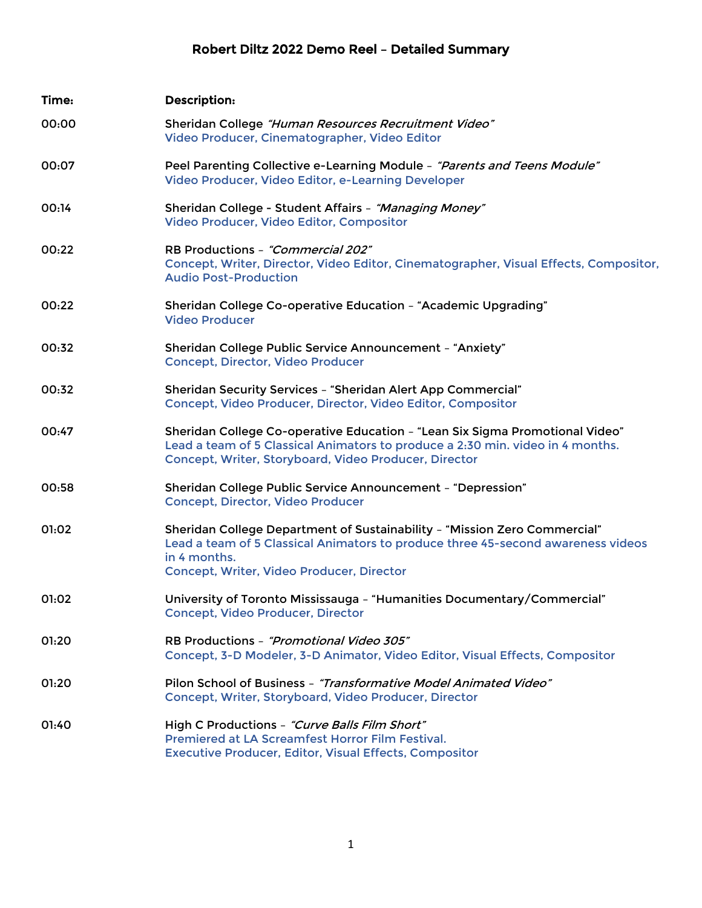## Robert Diltz 2022 Demo Reel – Detailed Summary

| Time: | <b>Description:</b>                                                                                                                                                                                                        |
|-------|----------------------------------------------------------------------------------------------------------------------------------------------------------------------------------------------------------------------------|
| 00:00 | Sheridan College "Human Resources Recruitment Video"<br>Video Producer, Cinematographer, Video Editor                                                                                                                      |
| 00:07 | Peel Parenting Collective e-Learning Module - "Parents and Teens Module"<br>Video Producer, Video Editor, e-Learning Developer                                                                                             |
| 00:14 | Sheridan College - Student Affairs - "Managing Money"<br>Video Producer, Video Editor, Compositor                                                                                                                          |
| 00:22 | RB Productions - "Commercial 202"<br>Concept, Writer, Director, Video Editor, Cinematographer, Visual Effects, Compositor,<br><b>Audio Post-Production</b>                                                                 |
| 00:22 | Sheridan College Co-operative Education - "Academic Upgrading"<br><b>Video Producer</b>                                                                                                                                    |
| 00:32 | Sheridan College Public Service Announcement - "Anxiety"<br><b>Concept, Director, Video Producer</b>                                                                                                                       |
| 00:32 | Sheridan Security Services - "Sheridan Alert App Commercial"<br>Concept, Video Producer, Director, Video Editor, Compositor                                                                                                |
| 00:47 | Sheridan College Co-operative Education - "Lean Six Sigma Promotional Video"<br>Lead a team of 5 Classical Animators to produce a 2:30 min. video in 4 months.<br>Concept, Writer, Storyboard, Video Producer, Director    |
| 00:58 | Sheridan College Public Service Announcement - "Depression"<br><b>Concept, Director, Video Producer</b>                                                                                                                    |
| 01:02 | Sheridan College Department of Sustainability - "Mission Zero Commercial"<br>Lead a team of 5 Classical Animators to produce three 45-second awareness videos<br>in 4 months.<br>Concept, Writer, Video Producer, Director |
| 01:02 | University of Toronto Mississauga - "Humanities Documentary/Commercial"<br><b>Concept, Video Producer, Director</b>                                                                                                        |
| 01:20 | RB Productions - "Promotional Video 305"<br>Concept, 3-D Modeler, 3-D Animator, Video Editor, Visual Effects, Compositor                                                                                                   |
| 01:20 | Pilon School of Business - "Transformative Model Animated Video"<br>Concept, Writer, Storyboard, Video Producer, Director                                                                                                  |
| 01:40 | High C Productions - "Curve Balls Film Short"<br>Premiered at LA Screamfest Horror Film Festival.<br><b>Executive Producer, Editor, Visual Effects, Compositor</b>                                                         |